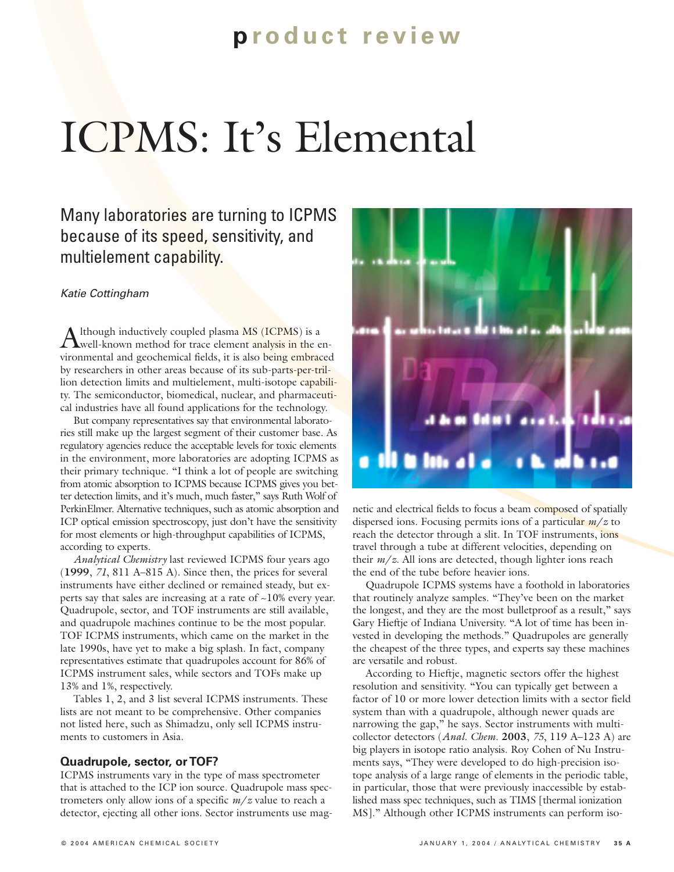# **p roduct review**

# ICPMS: It's Elemental

Many laboratories are turning to ICPMS because of its speed, sensitivity, and multielement capability.

#### *Katie Cottingham*

Although inductively coupled plasma MS (ICPMS) is a well-known method for trace element analysis in the environmental and geochemical fields, it is also being embraced by researchers in other areas because of its sub-parts-per-trillion detection limits and multielement, multi-isotope capability. The semiconductor, biomedical, nuclear, and pharmaceutical industries have all found applications for the technology.

But company representatives say that environmental laboratories still make up the largest segment of their customer base. As regulatory agencies reduce the acceptable levels for toxic elements in the environment, more laboratories are adopting ICPMS as their primary technique. "I think a lot of people are switching from atomic absorption to ICPMS because ICPMS gives you better detection limits, and it's much, much faster," says Ruth Wolf of PerkinElmer. Alternative techniques, such as atomic absorption and ICP optical emission spectroscopy, just don't have the sensitivity for most elements or high-throughput capabilities of ICPMS, according to experts.

*Analytical Chemistry* last reviewed ICPMS four years ago (**1999**, *71*, 811 A–815 A). Since then, the prices for several instruments have either declined or remained steady, but experts say that sales are increasing at a rate of ~10% every year. Quadrupole, sector, and TOF instruments are still available, and quadrupole machines continue to be the most popular. TOF ICPMS instruments, which came on the market in the late 1990s, have yet to make a big splash. In fact, company representatives estimate that quadrupoles account for 86% of ICPMS instrument sales, while sectors and TOFs make up 13% and 1%, respectively.

Tables 1, 2, and 3 list several ICPMS instruments. These lists are not meant to be comprehensive. Other companies not listed here, such as Shimadzu, only sell ICPMS instruments to customers in Asia.

#### **Quadrupole, sector, or TOF?**

ICPMS instruments vary in the type of mass spectrometer that is attached to the ICP ion source. Quadrupole mass spectrometers only allow ions of a specific *m*/*z* value to reach a detector, ejecting all other ions. Sector instruments use mag-



netic and electrical fields to focus a beam composed of spatially dispersed ions. Focusing permits ions of a particular *m*/*z* to reach the detector through a slit. In TOF instruments, ions travel through a tube at different velocities, depending on their *m*/*z*. All ions are detected, though lighter ions reach the end of the tube before heavier ions.

Quadrupole ICPMS systems have a foothold in laboratories that routinely analyze samples. "They've been on the market the longest, and they are the most bulletproof as a result," says Gary Hieftje of Indiana University. "A lot of time has been invested in developing the methods." Quadrupoles are generally the cheapest of the three types, and experts say these machines are versatile and robust.

According to Hieftje, magnetic sectors offer the highest resolution and sensitivity. "You can typically get between a factor of 10 or more lower detection limits with a sector field system than with a quadrupole, although newer quads are narrowing the gap," he says. Sector instruments with multicollector detectors (*Anal. Chem.* **2003**, *75*, 119 A–123 A) are big players in isotope ratio analysis. Roy Cohen of Nu Instruments says, "They were developed to do high-precision isotope analysis of a large range of elements in the periodic table, in particular, those that were previously inaccessible by established mass spec techniques, such as TIMS [thermal ionization MS]." Although other ICPMS instruments can perform iso-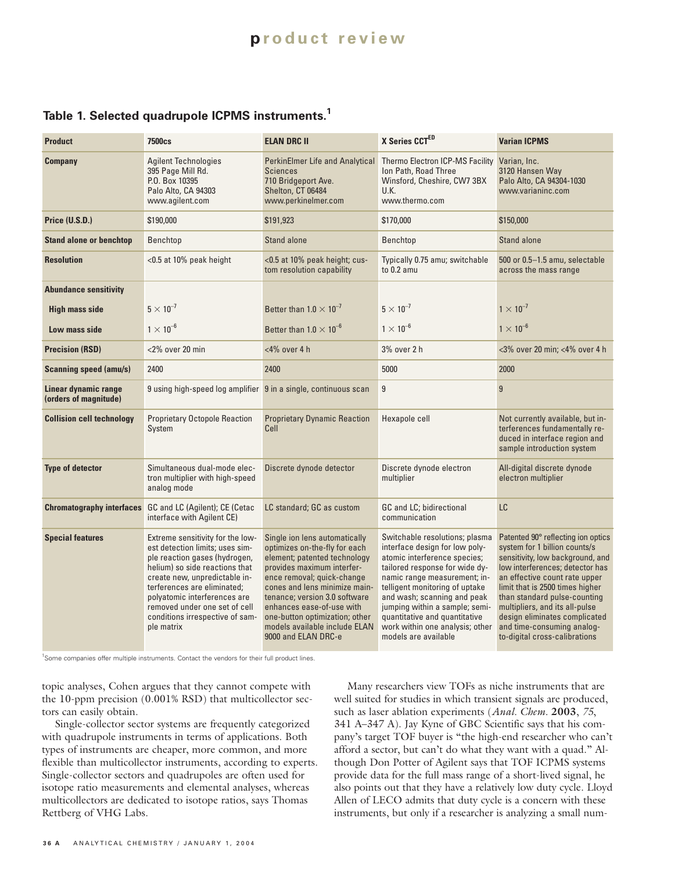## **p roduct review**

#### **Table 1. Selected quadrupole ICPMS instruments.1**

| <b>Product</b>                                | <b>7500cs</b>                                                                                                                                                                                                                                                                                                            | <b>ELAN DRC II</b>                                                                                                                                                                                                                                                                                                                                  | X Series CCTED                                                                                                                                                                                                                                                                                                                                                    | <b>Varian ICPMS</b>                                                                                                                                                                                                                                                                                                                                                              |
|-----------------------------------------------|--------------------------------------------------------------------------------------------------------------------------------------------------------------------------------------------------------------------------------------------------------------------------------------------------------------------------|-----------------------------------------------------------------------------------------------------------------------------------------------------------------------------------------------------------------------------------------------------------------------------------------------------------------------------------------------------|-------------------------------------------------------------------------------------------------------------------------------------------------------------------------------------------------------------------------------------------------------------------------------------------------------------------------------------------------------------------|----------------------------------------------------------------------------------------------------------------------------------------------------------------------------------------------------------------------------------------------------------------------------------------------------------------------------------------------------------------------------------|
| <b>Company</b>                                | <b>Agilent Technologies</b><br>395 Page Mill Rd.<br>P.O. Box 10395<br>Palo Alto, CA 94303<br>www.agilent.com                                                                                                                                                                                                             | <b>PerkinElmer Life and Analytical</b><br><b>Sciences</b><br>710 Bridgeport Ave.<br>Shelton, CT 06484<br>www.perkinelmer.com                                                                                                                                                                                                                        | Thermo Electron ICP-MS Facility<br>Ion Path, Road Three<br>Winsford, Cheshire, CW7 3BX<br>U.K.<br>www.thermo.com                                                                                                                                                                                                                                                  | Varian, Inc.<br>3120 Hansen Way<br>Palo Alto, CA 94304-1030<br>www.varianinc.com                                                                                                                                                                                                                                                                                                 |
| Price (U.S.D.)                                | \$190,000                                                                                                                                                                                                                                                                                                                | \$191,923                                                                                                                                                                                                                                                                                                                                           | \$170,000                                                                                                                                                                                                                                                                                                                                                         | \$150,000                                                                                                                                                                                                                                                                                                                                                                        |
| <b>Stand alone or benchtop</b>                | Benchtop                                                                                                                                                                                                                                                                                                                 | <b>Stand alone</b>                                                                                                                                                                                                                                                                                                                                  | Benchtop                                                                                                                                                                                                                                                                                                                                                          | Stand alone                                                                                                                                                                                                                                                                                                                                                                      |
| <b>Resolution</b>                             | <0.5 at 10% peak height                                                                                                                                                                                                                                                                                                  | <0.5 at 10% peak height; cus-<br>tom resolution capability                                                                                                                                                                                                                                                                                          | Typically 0.75 amu; switchable<br>to $0.2$ amu                                                                                                                                                                                                                                                                                                                    | 500 or 0.5-1.5 amu, selectable<br>across the mass range                                                                                                                                                                                                                                                                                                                          |
| <b>Abundance sensitivity</b>                  |                                                                                                                                                                                                                                                                                                                          |                                                                                                                                                                                                                                                                                                                                                     |                                                                                                                                                                                                                                                                                                                                                                   |                                                                                                                                                                                                                                                                                                                                                                                  |
| <b>High mass side</b>                         | $5 \times 10^{-7}$                                                                                                                                                                                                                                                                                                       | Better than $1.0 \times 10^{-7}$                                                                                                                                                                                                                                                                                                                    | $5 \times 10^{-7}$                                                                                                                                                                                                                                                                                                                                                | $1 \times 10^{-7}$                                                                                                                                                                                                                                                                                                                                                               |
| Low mass side                                 | $1 \times 10^{-6}$                                                                                                                                                                                                                                                                                                       | Better than $1.0 \times 10^{-6}$                                                                                                                                                                                                                                                                                                                    | $1 \times 10^{-6}$                                                                                                                                                                                                                                                                                                                                                | $1 \times 10^{-6}$                                                                                                                                                                                                                                                                                                                                                               |
| <b>Precision (RSD)</b>                        | $<$ 2% over 20 min                                                                                                                                                                                                                                                                                                       | $<$ 4% over 4 h                                                                                                                                                                                                                                                                                                                                     | 3% over 2 h                                                                                                                                                                                                                                                                                                                                                       | <3% over 20 min; <4% over 4 h                                                                                                                                                                                                                                                                                                                                                    |
| <b>Scanning speed (amu/s)</b>                 | 2400                                                                                                                                                                                                                                                                                                                     | 2400                                                                                                                                                                                                                                                                                                                                                | 5000                                                                                                                                                                                                                                                                                                                                                              | 2000                                                                                                                                                                                                                                                                                                                                                                             |
| Linear dynamic range<br>(orders of magnitude) | 9 using high-speed log amplifier 9 in a single, continuous scan                                                                                                                                                                                                                                                          |                                                                                                                                                                                                                                                                                                                                                     | 9                                                                                                                                                                                                                                                                                                                                                                 | $\overline{9}$                                                                                                                                                                                                                                                                                                                                                                   |
| <b>Collision cell technology</b>              | <b>Proprietary Octopole Reaction</b><br>System                                                                                                                                                                                                                                                                           | <b>Proprietary Dynamic Reaction</b><br>Cell                                                                                                                                                                                                                                                                                                         | Hexapole cell                                                                                                                                                                                                                                                                                                                                                     | Not currently available, but in-<br>terferences fundamentally re-<br>duced in interface region and<br>sample introduction system                                                                                                                                                                                                                                                 |
| <b>Type of detector</b>                       | Simultaneous dual-mode elec-<br>tron multiplier with high-speed<br>analog mode                                                                                                                                                                                                                                           | Discrete dynode detector                                                                                                                                                                                                                                                                                                                            | Discrete dynode electron<br>multiplier                                                                                                                                                                                                                                                                                                                            | All-digital discrete dynode<br>electron multiplier                                                                                                                                                                                                                                                                                                                               |
|                                               | <b>Chromatography interfaces</b> GC and LC (Agilent); CE (Cetac<br>interface with Agilent CE)                                                                                                                                                                                                                            | LC standard; GC as custom                                                                                                                                                                                                                                                                                                                           | GC and LC; bidirectional<br>communication                                                                                                                                                                                                                                                                                                                         | LC                                                                                                                                                                                                                                                                                                                                                                               |
| <b>Special features</b>                       | Extreme sensitivity for the low-<br>est detection limits; uses sim-<br>ple reaction gases (hydrogen,<br>helium) so side reactions that<br>create new, unpredictable in-<br>terferences are eliminated;<br>polyatomic interferences are<br>removed under one set of cell<br>conditions irrespective of sam-<br>ple matrix | Single ion lens automatically<br>optimizes on-the-fly for each<br>element; patented technology<br>provides maximum interfer-<br>ence removal; quick-change<br>cones and lens minimize main-<br>tenance; version 3.0 software<br>enhances ease-of-use with<br>one-button optimization; other<br>models available include ELAN<br>9000 and ELAN DRC-e | Switchable resolutions; plasma<br>interface design for low poly-<br>atomic interference species;<br>tailored response for wide dy-<br>namic range measurement; in-<br>telligent monitoring of uptake<br>and wash; scanning and peak<br>jumping within a sample; semi-<br>quantitative and quantitative<br>work within one analysis; other<br>models are available | Patented 90° reflecting ion optics<br>system for 1 billion counts/s<br>sensitivity, low background, and<br>low interferences; detector has<br>an effective count rate upper<br>limit that is 2500 times higher<br>than standard pulse-counting<br>multipliers, and its all-pulse<br>design eliminates complicated<br>and time-consuming analog-<br>to-digital cross-calibrations |

<sup>1</sup>Some companies offer multiple instruments. Contact the vendors for their full product lines.

topic analyses, Cohen argues that they cannot compete with the 10-ppm precision (0.001% RSD) that multicollector sectors can easily obtain.

Single-collector sector systems are frequently categorized with quadrupole instruments in terms of applications. Both types of instruments are cheaper, more common, and more flexible than multicollector instruments, according to experts. Single-collector sectors and quadrupoles are often used for isotope ratio measurements and elemental analyses, whereas multicollectors are dedicated to isotope ratios, says Thomas Rettberg of VHG Labs.

Many researchers view TOFs as niche instruments that are well suited for studies in which transient signals are produced, such as laser ablation experiments (*Anal. Chem.* **2003**, *75*, 341 A–347 A). Jay Kyne of GBC Scientific says that his company's target TOF buyer is "the high-end researcher who can't afford a sector, but can't do what they want with a quad." Although Don Potter of Agilent says that TOF ICPMS systems provide data for the full mass range of a short-lived signal, he also points out that they have a relatively low duty cycle. Lloyd Allen of LECO admits that duty cycle is a concern with these instruments, but only if a researcher is analyzing a small num-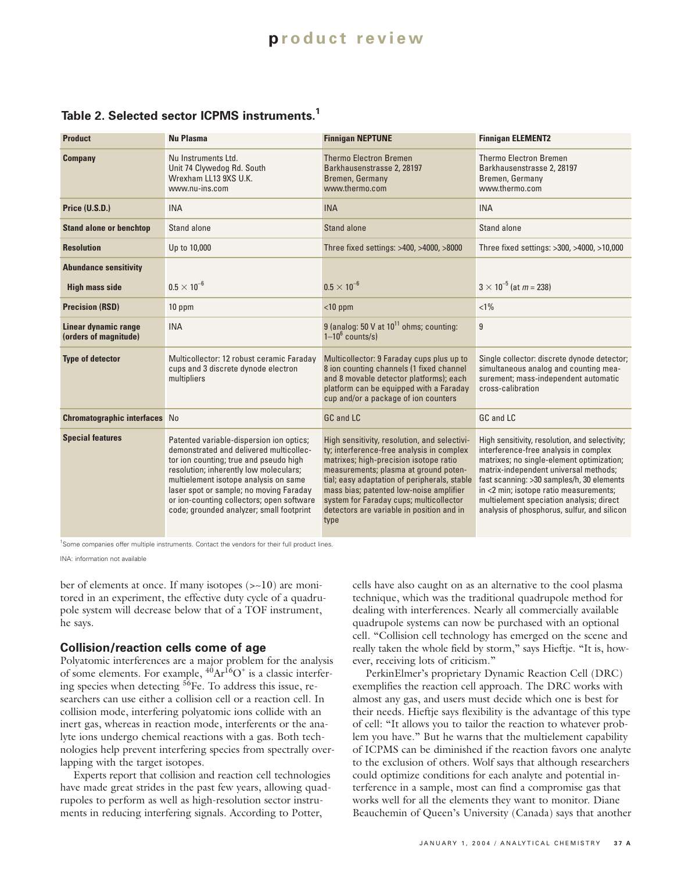## **p roduct review**

#### **Table 2. Selected sector ICPMS instruments.1**

| <b>Product</b>                                | <b>Nu Plasma</b>                                                                                                                                                                                                                                                                                                                                     | <b>Finnigan NEPTUNE</b>                                                                                                                                                                                                                                                                                                                                                 | <b>Finnigan ELEMENT2</b>                                                                                                                                                                                                                                                                                                                                        |
|-----------------------------------------------|------------------------------------------------------------------------------------------------------------------------------------------------------------------------------------------------------------------------------------------------------------------------------------------------------------------------------------------------------|-------------------------------------------------------------------------------------------------------------------------------------------------------------------------------------------------------------------------------------------------------------------------------------------------------------------------------------------------------------------------|-----------------------------------------------------------------------------------------------------------------------------------------------------------------------------------------------------------------------------------------------------------------------------------------------------------------------------------------------------------------|
| <b>Company</b>                                | Nu Instruments Ltd.<br>Unit 74 Clywedog Rd. South<br>Wrexham LL13 9XS U.K.<br>www.nu-ins.com                                                                                                                                                                                                                                                         | <b>Thermo Electron Bremen</b><br>Barkhausenstrasse 2, 28197<br>Bremen, Germany<br>www.thermo.com                                                                                                                                                                                                                                                                        | <b>Thermo Electron Bremen</b><br>Barkhausenstrasse 2, 28197<br>Bremen, Germany<br>www.thermo.com                                                                                                                                                                                                                                                                |
| Price (U.S.D.)                                | <b>INA</b>                                                                                                                                                                                                                                                                                                                                           | <b>INA</b>                                                                                                                                                                                                                                                                                                                                                              | <b>INA</b>                                                                                                                                                                                                                                                                                                                                                      |
| <b>Stand alone or benchtop</b>                | Stand alone                                                                                                                                                                                                                                                                                                                                          | Stand alone                                                                                                                                                                                                                                                                                                                                                             | Stand alone                                                                                                                                                                                                                                                                                                                                                     |
| <b>Resolution</b>                             | Up to 10,000                                                                                                                                                                                                                                                                                                                                         | Three fixed settings: >400, >4000, >8000                                                                                                                                                                                                                                                                                                                                | Three fixed settings: >300, >4000, >10,000                                                                                                                                                                                                                                                                                                                      |
| <b>Abundance sensitivity</b>                  |                                                                                                                                                                                                                                                                                                                                                      |                                                                                                                                                                                                                                                                                                                                                                         |                                                                                                                                                                                                                                                                                                                                                                 |
| <b>High mass side</b>                         | $0.5 \times 10^{-6}$                                                                                                                                                                                                                                                                                                                                 | $0.5 \times 10^{-6}$                                                                                                                                                                                                                                                                                                                                                    | $3 \times 10^{-5}$ (at $m = 238$ )                                                                                                                                                                                                                                                                                                                              |
| <b>Precision (RSD)</b>                        | 10 ppm                                                                                                                                                                                                                                                                                                                                               | $<$ 10 ppm                                                                                                                                                                                                                                                                                                                                                              | $< 1\%$                                                                                                                                                                                                                                                                                                                                                         |
| Linear dynamic range<br>(orders of magnitude) | <b>INA</b>                                                                                                                                                                                                                                                                                                                                           | 9 (analog: 50 V at $10^{11}$ ohms; counting:<br>$1-10^6$ counts/s)                                                                                                                                                                                                                                                                                                      | 9                                                                                                                                                                                                                                                                                                                                                               |
| <b>Type of detector</b>                       | Multicollector: 12 robust ceramic Faraday<br>cups and 3 discrete dynode electron<br>multipliers                                                                                                                                                                                                                                                      | Multicollector: 9 Faraday cups plus up to<br>8 ion counting channels (1 fixed channel<br>and 8 movable detector platforms); each<br>platform can be equipped with a Faraday<br>cup and/or a package of ion counters                                                                                                                                                     | Single collector: discrete dynode detector;<br>simultaneous analog and counting mea-<br>surement; mass-independent automatic<br>cross-calibration                                                                                                                                                                                                               |
| <b>Chromatographic interfaces</b> No          |                                                                                                                                                                                                                                                                                                                                                      | GC and LC                                                                                                                                                                                                                                                                                                                                                               | GC and LC                                                                                                                                                                                                                                                                                                                                                       |
| <b>Special features</b>                       | Patented variable-dispersion ion optics;<br>demonstrated and delivered multicollec-<br>tor ion counting; true and pseudo high<br>resolution; inherently low moleculars;<br>multielement isotope analysis on same<br>laser spot or sample; no moving Faraday<br>or ion-counting collectors; open software<br>code; grounded analyzer; small footprint | High sensitivity, resolution, and selectivi-<br>ty; interference-free analysis in complex<br>matrixes; high-precision isotope ratio<br>measurements; plasma at ground poten-<br>tial; easy adaptation of peripherals, stable<br>mass bias; patented low-noise amplifier<br>system for Faraday cups; multicollector<br>detectors are variable in position and in<br>type | High sensitivity, resolution, and selectivity;<br>interference-free analysis in complex<br>matrixes; no single-element optimization;<br>matrix-independent universal methods;<br>fast scanning: >30 samples/h, 30 elements<br>in <2 min; isotope ratio measurements;<br>multielement speciation analysis; direct<br>analysis of phosphorus, sulfur, and silicon |

<sup>1</sup>Some companies offer multiple instruments. Contact the vendors for their full product lines.

INA: information not available

ber of elements at once. If many isotopes (>~10) are monitored in an experiment, the effective duty cycle of a quadrupole system will decrease below that of a TOF instrument, he says.

#### **Collision/reaction cells come of age**

Polyatomic interferences are a major problem for the analysis of some elements. For example,  ${}^{40}Ar^{16}O^+$  is a classic interfering species when detecting <sup>56</sup>Fe. To address this issue, researchers can use either a collision cell or a reaction cell. In collision mode, interfering polyatomic ions collide with an inert gas, whereas in reaction mode, interferents or the analyte ions undergo chemical reactions with a gas. Both technologies help prevent interfering species from spectrally overlapping with the target isotopes.

Experts report that collision and reaction cell technologies have made great strides in the past few years, allowing quadrupoles to perform as well as high-resolution sector instruments in reducing interfering signals. According to Potter,

cells have also caught on as an alternative to the cool plasma technique, which was the traditional quadrupole method for dealing with interferences. Nearly all commercially available quadrupole systems can now be purchased with an optional cell. "Collision cell technology has emerged on the scene and really taken the whole field by storm," says Hieftje. "It is, however, receiving lots of criticism."

PerkinElmer's proprietary Dynamic Reaction Cell (DRC) exemplifies the reaction cell approach. The DRC works with almost any gas, and users must decide which one is best for their needs. Hieftje says flexibility is the advantage of this type of cell: "It allows you to tailor the reaction to whatever problem you have." But he warns that the multielement capability of ICPMS can be diminished if the reaction favors one analyte to the exclusion of others. Wolf says that although researchers could optimize conditions for each analyte and potential interference in a sample, most can find a compromise gas that works well for all the elements they want to monitor. Diane Beauchemin of Queen's University (Canada) says that another